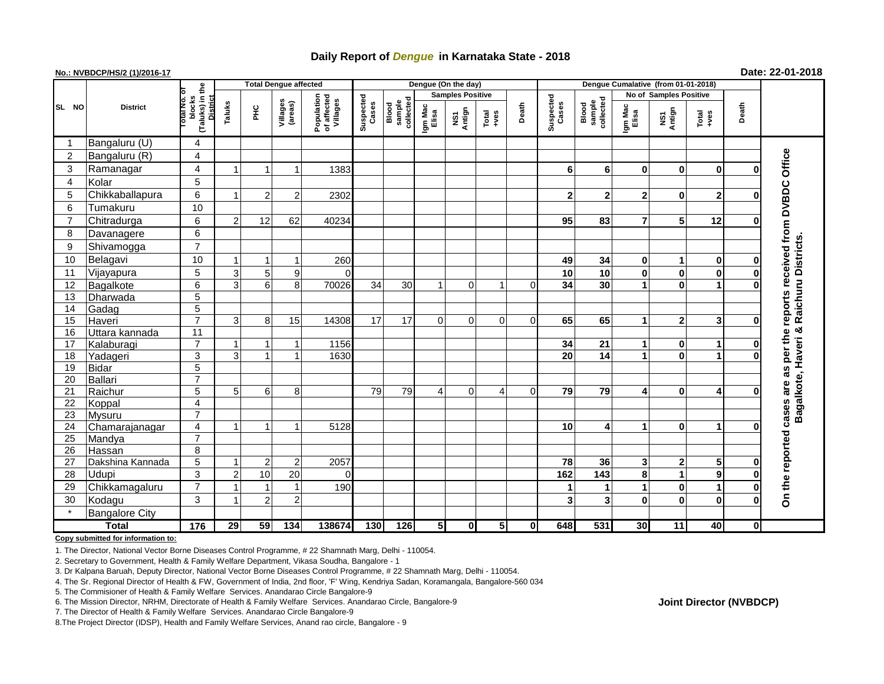## **Daily Report of** *Dengue* **in Karnataka State - 2018**

## **No.: NVBDCP/HS/2 (1)/2016-17 Date: 22-01-2018**

|                |                       |                                                          | <b>Total Dengue affected</b> |                |                     |                                       |                    |                              |                         | Dengue (On the day) |                |             |                    |                              |                      |                               |                |          |                                    |
|----------------|-----------------------|----------------------------------------------------------|------------------------------|----------------|---------------------|---------------------------------------|--------------------|------------------------------|-------------------------|---------------------|----------------|-------------|--------------------|------------------------------|----------------------|-------------------------------|----------------|----------|------------------------------------|
|                |                       |                                                          |                              |                |                     |                                       | Suspected<br>Cases |                              | <b>Samples Positive</b> |                     |                |             |                    |                              |                      | <b>No of Samples Positive</b> |                |          |                                    |
| SL NO          | <b>District</b>       | (Taluks) in the<br>blocks<br><b>District</b><br>otal No. | Taluks<br>$rac{C}{\pi}$      |                | Villages<br>(areas) | Population<br>of affected<br>Villages |                    | sample<br>collected<br>Blood | Igm Mac<br>Elisa        | Antign<br>NS1       | Total<br>+ves  | Death       | Suspected<br>Cases | sample<br>collected<br>Blood | Igm Mac<br>Elisa     | NS1<br>Antign                 | Total<br>+ves  | Death    |                                    |
|                | Bangaluru (U)         | 4                                                        |                              |                |                     |                                       |                    |                              |                         |                     |                |             |                    |                              |                      |                               |                |          |                                    |
| 2              | Bangaluru (R)         | $\overline{\mathbf{4}}$                                  |                              |                |                     |                                       |                    |                              |                         |                     |                |             |                    |                              |                      |                               |                |          |                                    |
| 3              | Ramanagar             | $\overline{\mathbf{4}}$                                  |                              |                | -1                  | 1383                                  |                    |                              |                         |                     |                |             | 6                  | 6                            | $\mathbf{0}$         | 0                             | $\mathbf 0$    | O        | reports received from DVBDC Office |
| $\overline{4}$ | Kolar                 | 5                                                        |                              |                |                     |                                       |                    |                              |                         |                     |                |             |                    |                              |                      |                               |                |          |                                    |
| 5              | Chikkaballapura       | 6                                                        |                              | $\overline{2}$ | $\overline{2}$      | 2302                                  |                    |                              |                         |                     |                |             | $\overline{2}$     | $\overline{2}$               | $\mathbf{2}$         | 0                             | $\overline{2}$ | U        |                                    |
| 6              | Tumakuru              | 10                                                       |                              |                |                     |                                       |                    |                              |                         |                     |                |             |                    |                              |                      |                               |                |          |                                    |
| $\overline{7}$ | Chitradurga           | 6                                                        | 2                            | 12             | 62                  | 40234                                 |                    |                              |                         |                     |                |             | 95                 | 83                           | $\overline{7}$       | 5                             | 12             | 0        |                                    |
| 8              | Davanagere            | 6                                                        |                              |                |                     |                                       |                    |                              |                         |                     |                |             |                    |                              |                      |                               |                |          |                                    |
| 9              | Shivamogga            | $\overline{7}$                                           |                              |                |                     |                                       |                    |                              |                         |                     |                |             |                    |                              |                      |                               |                |          |                                    |
| 10             | Belagavi              | 10                                                       |                              |                |                     | 260                                   |                    |                              |                         |                     |                |             | 49                 | 34                           | $\mathbf{0}$         | 1                             | $\mathbf 0$    | 0        | Raichuru Districts                 |
| 11             | Vijayapura            | 5                                                        | 3                            | 5              | 9                   | $\Omega$                              |                    |                              |                         |                     |                |             | 10                 | 10                           | $\bf{0}$             | 0                             | $\mathbf 0$    | 0        |                                    |
| 12             | Bagalkote             | $6\overline{6}$                                          | 3                            | 6 <sup>1</sup> | 8                   | 70026                                 | $\overline{34}$    | $\overline{30}$              | -1                      | $\mathbf 0$         | 1              | 0           | 34                 | 30                           |                      | 0                             | 1              | U        |                                    |
| 13             | Dharwada              | $\overline{5}$                                           |                              |                |                     |                                       |                    |                              |                         |                     |                |             |                    |                              |                      |                               |                |          |                                    |
| 14             | Gadag                 | $\overline{5}$                                           |                              |                |                     |                                       |                    |                              |                         |                     |                |             |                    |                              |                      |                               |                |          |                                    |
| 15             | Haveri                | $\overline{7}$                                           | 3                            | 8              | 15                  | 14308                                 | 17                 | 17                           | $\Omega$                | $\mathbf 0$         | $\Omega$       | $\Omega$    | 65                 | 65                           | $\blacktriangleleft$ | $\mathbf 2$                   | 3              | $\bf{0}$ |                                    |
| 16             | Uttara kannada        | $\overline{11}$                                          |                              |                |                     |                                       |                    |                              |                         |                     |                |             |                    |                              |                      |                               |                |          | ×                                  |
| 17             | Kalaburagi            | $\overline{7}$                                           |                              | 1              | -1                  | 1156                                  |                    |                              |                         |                     |                |             | 34                 | 21                           | 1                    | 0                             | 1              | $\bf{0}$ |                                    |
| 18             | Yadageri              | 3                                                        | 3                            | $\overline{1}$ | $\overline{ }$      | 1630                                  |                    |                              |                         |                     |                |             | 20                 | 14                           | $\blacktriangleleft$ | $\mathbf{0}$                  | 1              | 0        | per the                            |
| 19             | <b>Bidar</b>          | $\overline{5}$                                           |                              |                |                     |                                       |                    |                              |                         |                     |                |             |                    |                              |                      |                               |                |          | as                                 |
| 20             | Ballari               | $\overline{7}$                                           |                              |                |                     |                                       |                    |                              |                         |                     |                |             |                    |                              |                      |                               |                |          |                                    |
| 21             | Raichur               | 5                                                        | 5                            | 6              | 8                   |                                       | 79                 | 79                           | 4                       | $\mathbf 0$         | 4              | $\mathbf 0$ | 79                 | 79                           | $\overline{4}$       | 0                             | 4              | ŋ        | agalkote, Haveri<br>are            |
| 22             | Koppal                | $\overline{\mathbf{4}}$                                  |                              |                |                     |                                       |                    |                              |                         |                     |                |             |                    |                              |                      |                               |                |          | cases                              |
| 23             | <b>Mysuru</b>         | $\overline{7}$                                           |                              |                |                     |                                       |                    |                              |                         |                     |                |             |                    |                              |                      |                               |                |          | ≃                                  |
| 24             | Chamarajanagar        | $\overline{4}$                                           |                              | $\mathbf 1$    | -1                  | 5128                                  |                    |                              |                         |                     |                |             | 10                 | 4                            | 1                    | 0                             | 1              | Ω        |                                    |
| 25             | Mandya                | $\overline{7}$                                           |                              |                |                     |                                       |                    |                              |                         |                     |                |             |                    |                              |                      |                               |                |          |                                    |
| 26             | Hassan                | 8                                                        |                              |                |                     |                                       |                    |                              |                         |                     |                |             |                    |                              |                      |                               |                |          |                                    |
| 27             | Dakshina Kannada      | $\overline{5}$                                           |                              | $\overline{2}$ | $\overline{2}$      | 2057                                  |                    |                              |                         |                     |                |             | 78                 | 36                           | 3 <sup>1</sup>       | $\mathbf 2$                   | 5              | 0        |                                    |
| 28             | <b>Udupi</b>          | 3                                                        | っ                            | 10             | 20                  | $\Omega$                              |                    |                              |                         |                     |                |             | 162                | 143                          | 8                    | 1                             | 9              | $\bf{0}$ |                                    |
| 29             | Chikkamagaluru        | $\overline{7}$                                           |                              |                | $\overline{1}$      | 190                                   |                    |                              |                         |                     |                |             | 1                  | 1                            |                      | 0                             | 1              | 0        | On the reported                    |
| 30             | Kodagu                | 3                                                        |                              | $\overline{2}$ | $\overline{c}$      |                                       |                    |                              |                         |                     |                |             | 3                  | 3                            | $\mathbf 0$          | 0                             | $\bf{0}$       | $\bf{0}$ |                                    |
|                | <b>Bangalore City</b> |                                                          |                              |                |                     |                                       |                    |                              |                         |                     |                |             |                    |                              |                      |                               |                |          |                                    |
| <b>Total</b>   |                       | 176                                                      | $\overline{29}$              | 59             | $\frac{1}{134}$     | 138674                                | 130                | 126                          | 5 <sub>l</sub>          | $\mathbf{0}$        | $\overline{5}$ | $\mathbf 0$ | 648                | 531                          | 30 <sup>1</sup>      | 11                            | 40             | 0l       |                                    |

**Copy submitted for information to:**

1. The Director, National Vector Borne Diseases Control Programme, # 22 Shamnath Marg, Delhi - 110054.

2. Secretary to Government, Health & Family Welfare Department, Vikasa Soudha, Bangalore - 1

3. Dr Kalpana Baruah, Deputy Director, National Vector Borne Diseases Control Programme, # 22 Shamnath Marg, Delhi - 110054.

4. The Sr. Regional Director of Health & FW, Government of India, 2nd floor, 'F' Wing, Kendriya Sadan, Koramangala, Bangalore-560 034

5. The Commisioner of Health & Family Welfare Services. Anandarao Circle Bangalore-9

## **Joint Director (NVBDCP)**

<sup>6.</sup> The Mission Director, NRHM, Directorate of Health & Family Welfare Services. Anandarao Circle, Bangalore-9

<sup>7.</sup> The Director of Health & Family Welfare Services. Anandarao Circle Bangalore-9

<sup>8.</sup>The Project Director (IDSP), Health and Family Welfare Services, Anand rao circle, Bangalore - 9